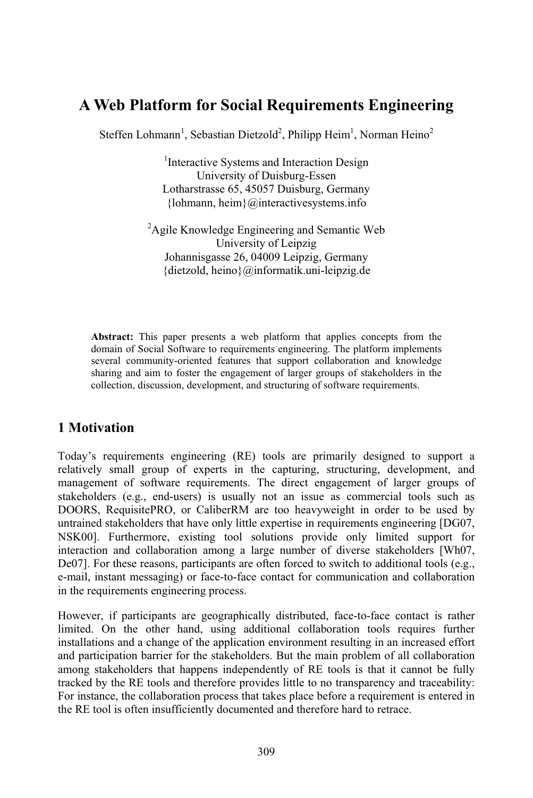# **A Web Platform for Social Requirements Engineering**

Steffen Lohmann<sup>1</sup>, Sebastian Dietzold<sup>2</sup>, Philipp Heim<sup>1</sup>, Norman Heino<sup>2</sup>

1 Interactive Systems and Interaction Design University of Duisburg-Essen Lotharstrasse 65, 45057 Duisburg, Germany {lohmann, heim}@interactivesystems.info

<sup>2</sup>Agile Knowledge Engineering and Semantic Web University of Leipzig Johannisgasse 26, 04009 Leipzig, Germany {dietzold, heino}@informatik.uni-leipzig.de

**Abstract:** This paper presents a web platform that applies concepts from the domain of Social Software to requirements engineering. The platform implements several community-oriented features that support collaboration and knowledge sharing and aim to foster the engagement of larger groups of stakeholders in the collection, discussion, development, and structuring of software requirements.

# **1 Motivation**

Today's requirements engineering (RE) tools are primarily designed to support a relatively small group of experts in the capturing, structuring, development, and management of software requirements. The direct engagement of larger groups of stakeholders (e.g., end-users) is usually not an issue as commercial tools such as DOORS, RequisitePRO, or CaliberRM are too heavyweight in order to be used by untrained stakeholders that have only little expertise in requirements engineering [DG07, NSK00]. Furthermore, existing tool solutions provide only limited support for interaction and collaboration among a large number of diverse stakeholders [Wh07, De07]. For these reasons, participants are often forced to switch to additional tools (e.g., e-mail, instant messaging) or face-to-face contact for communication and collaboration in the requirements engineering process.

However, if participants are geographically distributed, face-to-face contact is rather limited. On the other hand, using additional collaboration tools requires further installations and a change of the application environment resulting in an increased effort and participation barrier for the stakeholders. But the main problem of all collaboration among stakeholders that happens independently of RE tools is that it cannot be fully tracked by the RE tools and therefore provides little to no transparency and traceability: For instance, the collaboration process that takes place before a requirement is entered in the RE tool is often insufficiently documented and therefore hard to retrace.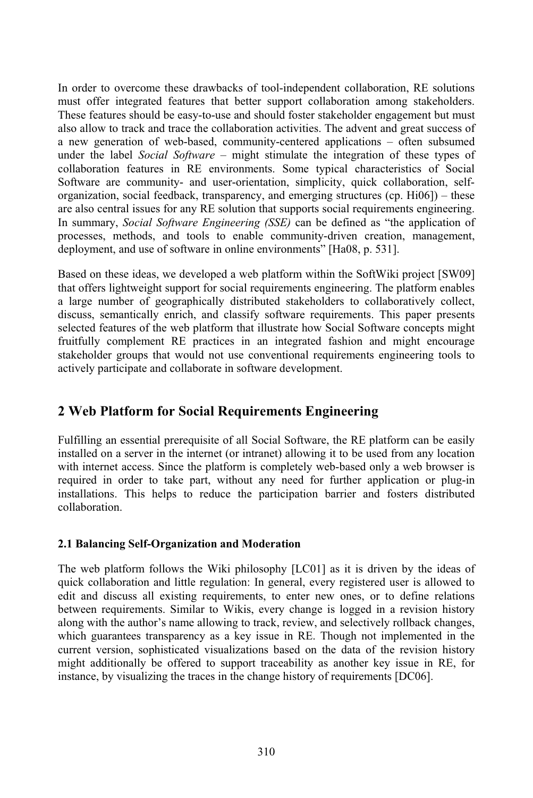In order to overcome these drawbacks of tool-independent collaboration, RE solutions must offer integrated features that better support collaboration among stakeholders. These features should be easy-to-use and should foster stakeholder engagement but must also allow to track and trace the collaboration activities. The advent and great success of a new generation of web-based, community-centered applications – often subsumed under the label *Social Software* – might stimulate the integration of these types of collaboration features in RE environments. Some typical characteristics of Social Software are community- and user-orientation, simplicity, quick collaboration, selforganization, social feedback, transparency, and emerging structures (cp.  $H<sub>i</sub>106$ ) – these are also central issues for any RE solution that supports social requirements engineering. In summary, *Social Software Engineering (SSE)* can be defined as "the application of processes, methods, and tools to enable community-driven creation, management, deployment, and use of software in online environments" [Ha08, p. 531].

Based on these ideas, we developed a web platform within the SoftWiki project [SW09] that offers lightweight support for social requirements engineering. The platform enables a large number of geographically distributed stakeholders to collaboratively collect, discuss, semantically enrich, and classify software requirements. This paper presents selected features of the web platform that illustrate how Social Software concepts might fruitfully complement RE practices in an integrated fashion and might encourage stakeholder groups that would not use conventional requirements engineering tools to actively participate and collaborate in software development.

# **2 Web Platform for Social Requirements Engineering**

Fulfilling an essential prerequisite of all Social Software, the RE platform can be easily installed on a server in the internet (or intranet) allowing it to be used from any location with internet access. Since the platform is completely web-based only a web browser is required in order to take part, without any need for further application or plug-in installations. This helps to reduce the participation barrier and fosters distributed collaboration.

### **2.1 Balancing Self-Organization and Moderation**

The web platform follows the Wiki philosophy [LC01] as it is driven by the ideas of quick collaboration and little regulation: In general, every registered user is allowed to edit and discuss all existing requirements, to enter new ones, or to define relations between requirements. Similar to Wikis, every change is logged in a revision history along with the author's name allowing to track, review, and selectively rollback changes, which guarantees transparency as a key issue in RE. Though not implemented in the current version, sophisticated visualizations based on the data of the revision history might additionally be offered to support traceability as another key issue in RE, for instance, by visualizing the traces in the change history of requirements [DC06].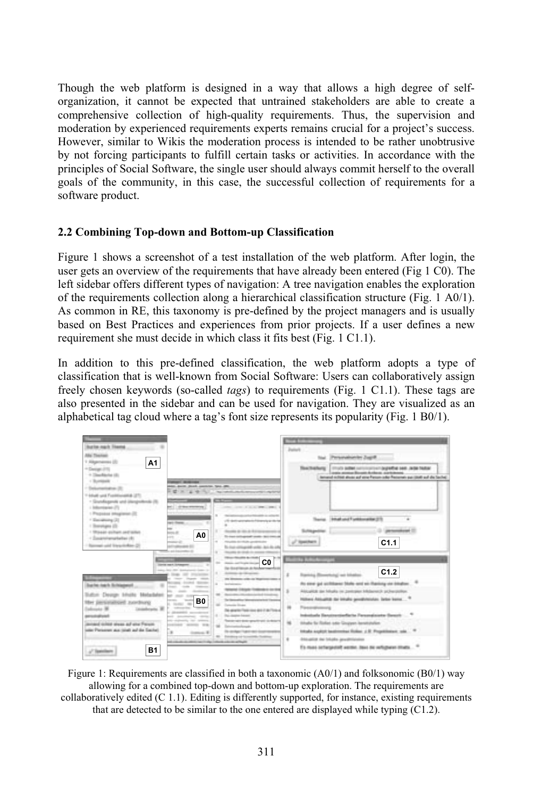Though the web platform is designed in a way that allows a high degree of selforganization, it cannot be expected that untrained stakeholders are able to create a comprehensive collection of high-quality requirements. Thus, the supervision and moderation by experienced requirements experts remains crucial for a project's success. However, similar to Wikis the moderation process is intended to be rather unobtrusive by not forcing participants to fulfill certain tasks or activities. In accordance with the principles of Social Software, the single user should always commit herself to the overall goals of the community, in this case, the successful collection of requirements for a software product.

#### **2.2 Combining Top-down and Bottom-up Classification**

Figure 1 shows a screenshot of a test installation of the web platform. After login, the user gets an overview of the requirements that have already been entered (Fig  $1 \text{ }*C*0$ ). The left sidebar offers different types of navigation: A tree navigation enables the exploration of the requirements collection along a hierarchical classification structure (Fig. 1 A0/1). As common in RE, this taxonomy is pre-defined by the project managers and is usually based on Best Practices and experiences from prior projects. If a user defines a new requirement she must decide in which class it fits best (Fig. 1 C1.1).

In addition to this pre-defined classification, the web platform adopts a type of classification that is well-known from Social Software: Users can collaboratively assign freely chosen keywords (so-called *tags*) to requirements (Fig. 1 C1.1). These tags are also presented in the sidebar and can be used for navigation. They are visualized as an alphabetical tag cloud where a tag's font size represents its popularity (Fig. 1 B0/1).



Figure 1: Requirements are classified in both a taxonomic  $(A0/1)$  and folksonomic  $(B0/1)$  way allowing for a combined top-down and bottom-up exploration. The requirements are collaboratively edited (C 1.1). Editing is differently supported, for instance, existing requirements that are detected to be similar to the one entered are displayed while typing (C1.2).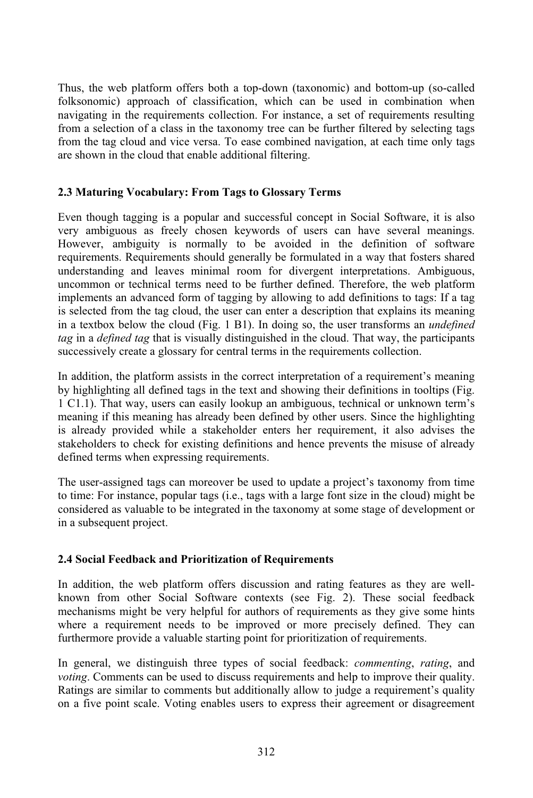Thus, the web platform offers both a top-down (taxonomic) and bottom-up (so-called folksonomic) approach of classification, which can be used in combination when navigating in the requirements collection. For instance, a set of requirements resulting from a selection of a class in the taxonomy tree can be further filtered by selecting tags from the tag cloud and vice versa. To ease combined navigation, at each time only tags are shown in the cloud that enable additional filtering.

### **2.3 Maturing Vocabulary: From Tags to Glossary Terms**

Even though tagging is a popular and successful concept in Social Software, it is also very ambiguous as freely chosen keywords of users can have several meanings. However, ambiguity is normally to be avoided in the definition of software requirements. Requirements should generally be formulated in a way that fosters shared understanding and leaves minimal room for divergent interpretations. Ambiguous, uncommon or technical terms need to be further defined. Therefore, the web platform implements an advanced form of tagging by allowing to add definitions to tags: If a tag is selected from the tag cloud, the user can enter a description that explains its meaning in a textbox below the cloud (Fig. 1 B1). In doing so, the user transforms an *undefined tag* in a *defined tag* that is visually distinguished in the cloud. That way, the participants successively create a glossary for central terms in the requirements collection.

In addition, the platform assists in the correct interpretation of a requirement's meaning by highlighting all defined tags in the text and showing their definitions in tooltips (Fig. 1 C1.1). That way, users can easily lookup an ambiguous, technical or unknown term's meaning if this meaning has already been defined by other users. Since the highlighting is already provided while a stakeholder enters her requirement, it also advises the stakeholders to check for existing definitions and hence prevents the misuse of already defined terms when expressing requirements.

The user-assigned tags can moreover be used to update a project's taxonomy from time to time: For instance, popular tags (i.e., tags with a large font size in the cloud) might be considered as valuable to be integrated in the taxonomy at some stage of development or in a subsequent project.

### **2.4 Social Feedback and Prioritization of Requirements**

In addition, the web platform offers discussion and rating features as they are wellknown from other Social Software contexts (see Fig. 2). These social feedback mechanisms might be very helpful for authors of requirements as they give some hints where a requirement needs to be improved or more precisely defined. They can furthermore provide a valuable starting point for prioritization of requirements.

In general, we distinguish three types of social feedback: *commenting*, *rating*, and *voting*. Comments can be used to discuss requirements and help to improve their quality. Ratings are similar to comments but additionally allow to judge a requirement's quality on a five point scale. Voting enables users to express their agreement or disagreement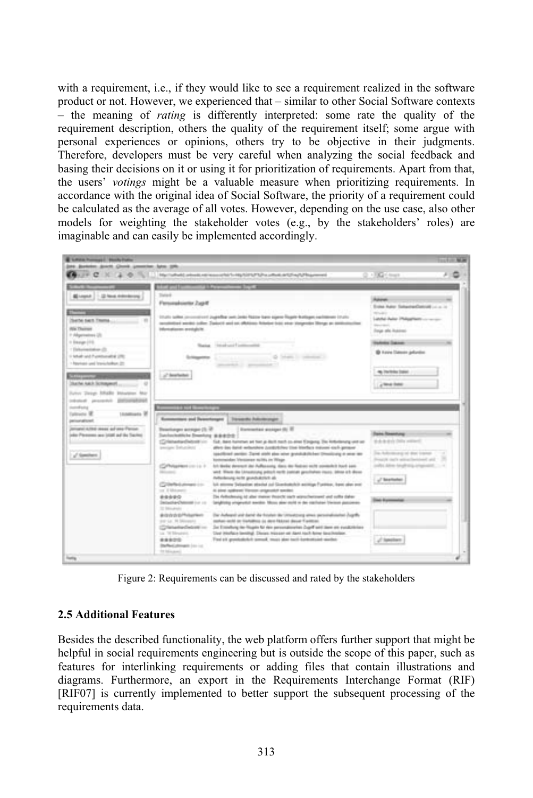with a requirement, i.e., if they would like to see a requirement realized in the software product or not. However, we experienced that – similar to other Social Software contexts – the meaning of *rating* is differently interpreted: some rate the quality of the requirement description, others the quality of the requirement itself; some argue with personal experiences or opinions, others try to be objective in their judgments. Therefore, developers must be very careful when analyzing the social feedback and basing their decisions on it or using it for prioritization of requirements. Apart from that, the users' *votings* might be a valuable measure when prioritizing requirements. In accordance with the original idea of Social Software, the priority of a requirement could be calculated as the average of all votes. However, depending on the use case, also other models for weighting the stakeholder votes (e.g., by the stakeholders' roles) are imaginable and can easily be implemented accordingly.



Figure 2: Requirements can be discussed and rated by the stakeholders

#### **2.5 Additional Features**

Besides the described functionality, the web platform offers further support that might be helpful in social requirements engineering but is outside the scope of this paper, such as features for interlinking requirements or adding files that contain illustrations and diagrams. Furthermore, an export in the Requirements Interchange Format (RIF) [RIF07] is currently implemented to better support the subsequent processing of the requirements data.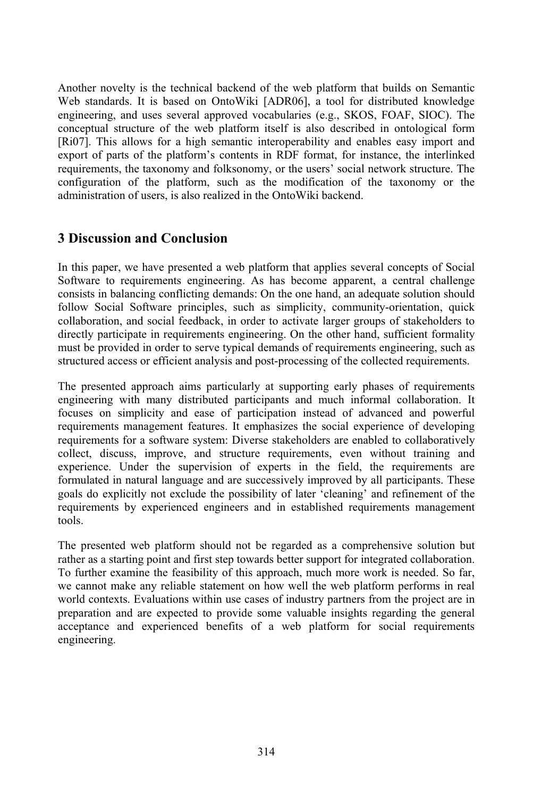Another novelty is the technical backend of the web platform that builds on Semantic Web standards. It is based on OntoWiki [ADR06], a tool for distributed knowledge engineering, and uses several approved vocabularies (e.g., SKOS, FOAF, SIOC). The conceptual structure of the web platform itself is also described in ontological form [Ri07]. This allows for a high semantic interoperability and enables easy import and export of parts of the platform's contents in RDF format, for instance, the interlinked requirements, the taxonomy and folksonomy, or the users' social network structure. The configuration of the platform, such as the modification of the taxonomy or the administration of users, is also realized in the OntoWiki backend.

### **3 Discussion and Conclusion**

In this paper, we have presented a web platform that applies several concepts of Social Software to requirements engineering. As has become apparent, a central challenge consists in balancing conflicting demands: On the one hand, an adequate solution should follow Social Software principles, such as simplicity, community-orientation, quick collaboration, and social feedback, in order to activate larger groups of stakeholders to directly participate in requirements engineering. On the other hand, sufficient formality must be provided in order to serve typical demands of requirements engineering, such as structured access or efficient analysis and post-processing of the collected requirements.

The presented approach aims particularly at supporting early phases of requirements engineering with many distributed participants and much informal collaboration. It focuses on simplicity and ease of participation instead of advanced and powerful requirements management features. It emphasizes the social experience of developing requirements for a software system: Diverse stakeholders are enabled to collaboratively collect, discuss, improve, and structure requirements, even without training and experience. Under the supervision of experts in the field, the requirements are formulated in natural language and are successively improved by all participants. These goals do explicitly not exclude the possibility of later 'cleaning' and refinement of the requirements by experienced engineers and in established requirements management tools.

The presented web platform should not be regarded as a comprehensive solution but rather as a starting point and first step towards better support for integrated collaboration. To further examine the feasibility of this approach, much more work is needed. So far, we cannot make any reliable statement on how well the web platform performs in real world contexts. Evaluations within use cases of industry partners from the project are in preparation and are expected to provide some valuable insights regarding the general acceptance and experienced benefits of a web platform for social requirements engineering.